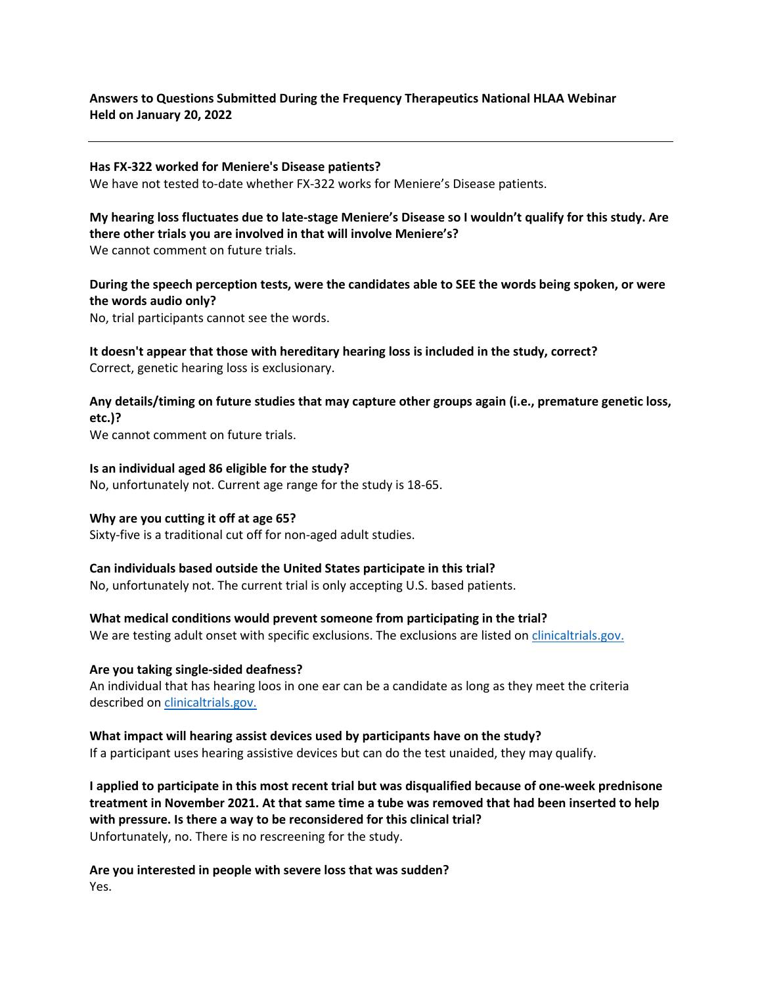## **Answers to Questions Submitted During the Frequency Therapeutics National HLAA Webinar Held on January 20, 2022**

### **Has FX-322 worked for Meniere's Disease patients?**

We have not tested to-date whether FX-322 works for Meniere's Disease patients.

### **My hearing loss fluctuates due to late-stage Meniere's Disease so I wouldn't qualify for this study. Are there other trials you are involved in that will involve Meniere's?** We cannot comment on future trials.

## **During the speech perception tests, were the candidates able to SEE the words being spoken, or were the words audio only?**

No, trial participants cannot see the words.

**It doesn't appear that those with hereditary hearing loss is included in the study, correct?** Correct, genetic hearing loss is exclusionary.

## **Any details/timing on future studies that may capture other groups again (i.e., premature genetic loss, etc.)?**

We cannot comment on future trials.

## **Is an individual aged 86 eligible for the study?**

No, unfortunately not. Current age range for the study is 18-65.

### **Why are you cutting it off at age 65?**

Sixty-five is a traditional cut off for non-aged adult studies.

### **Can individuals based outside the United States participate in this trial?**

No, unfortunately not. The current trial is only accepting U.S. based patients.

### **What medical conditions would prevent someone from participating in the trial?**

We are testing adult onset with specific exclusions. The exclusions are listed on clinicaltrials.gov.

### **Are you taking single-sided deafness?**

An individual that has hearing loos in one ear can be a candidate as long as they meet the criteria described on [clinicaltrials.gov.](https://clinicaltrials.gov/ct2/show/NCT05086276?term=frequency&cond=snhl&draw=3&rank=11) 

# **What impact will hearing assist devices used by participants have on the study?**

If a participant uses hearing assistive devices but can do the test unaided, they may qualify.

**I applied to participate in this most recent trial but was disqualified because of one-week prednisone treatment in November 2021. At that same time a tube was removed that had been inserted to help with pressure. Is there a way to be reconsidered for this clinical trial?** Unfortunately, no. There is no rescreening for the study.

**Are you interested in people with severe loss that was sudden?** Yes.